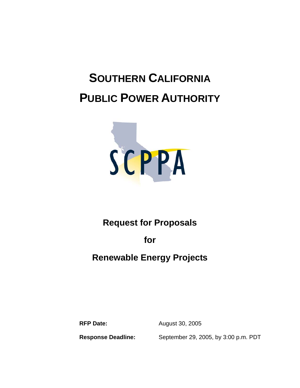# **SOUTHERN CALIFORNIA PUBLIC POWER AUTHORITY**



# **Request for Proposals**

**for** 

# **Renewable Energy Projects**

**RFP Date:** August 30, 2005

**Response Deadline:** September 29, 2005, by 3:00 p.m. PDT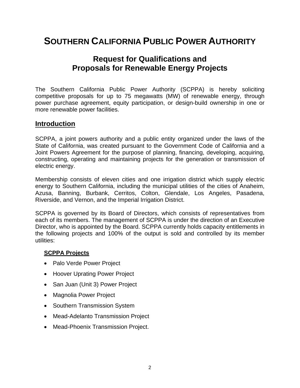# **SOUTHERN CALIFORNIA PUBLIC POWER AUTHORITY**

## **Request for Qualifications and Proposals for Renewable Energy Projects**

The Southern California Public Power Authority (SCPPA) is hereby soliciting competitive proposals for up to 75 megawatts (MW) of renewable energy, through power purchase agreement, equity participation, or design-build ownership in one or more renewable power facilities.

#### **Introduction**

SCPPA, a joint powers authority and a public entity organized under the laws of the State of California, was created pursuant to the Government Code of California and a Joint Powers Agreement for the purpose of planning, financing, developing, acquiring, constructing, operating and maintaining projects for the generation or transmission of electric energy.

Membership consists of eleven cities and one irrigation district which supply electric energy to Southern California, including the municipal utilities of the cities of Anaheim, Azusa, Banning, Burbank, Cerritos, Colton, Glendale, Los Angeles, Pasadena, Riverside, and Vernon, and the Imperial Irrigation District.

SCPPA is governed by its Board of Directors, which consists of representatives from each of its members. The management of SCPPA is under the direction of an Executive Director, who is appointed by the Board. SCPPA currently holds capacity entitlements in the following projects and 100% of the output is sold and controlled by its member utilities:

#### **SCPPA Projects**

- Palo Verde Power Project
- Hoover Uprating Power Project
- San Juan (Unit 3) Power Project
- Magnolia Power Project
- Southern Transmission System
- Mead-Adelanto Transmission Project
- Mead-Phoenix Transmission Project.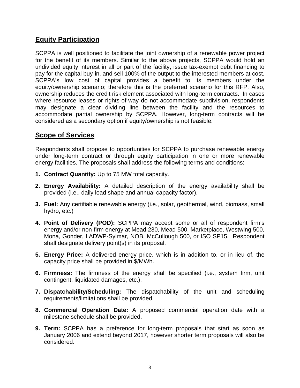## **Equity Participation**

SCPPA is well positioned to facilitate the joint ownership of a renewable power project for the benefit of its members. Similar to the above projects, SCPPA would hold an undivided equity interest in all or part of the facility, issue tax-exempt debt financing to pay for the capital buy-in, and sell 100% of the output to the interested members at cost. SCPPA's low cost of capital provides a benefit to its members under the equity/ownership scenario; therefore this is the preferred scenario for this RFP. Also, ownership reduces the credit risk element associated with long-term contracts. In cases where resource leases or rights-of-way do not accommodate subdivision, respondents may designate a clear dividing line between the facility and the resources to accommodate partial ownership by SCPPA. However, long-term contracts will be considered as a secondary option if equity/ownership is not feasible.

### **Scope of Services**

Respondents shall propose to opportunities for SCPPA to purchase renewable energy under long-term contract or through equity participation in one or more renewable energy facilities. The proposals shall address the following terms and conditions:

- **1. Contract Quantity:** Up to 75 MW total capacity.
- **2. Energy Availability:** A detailed description of the energy availability shall be provided (i.e., daily load shape and annual capacity factor).
- **3. Fuel:** Any certifiable renewable energy (i.e., solar, geothermal, wind, biomass, small hydro, etc.)
- **4. Point of Delivery (POD):** SCPPA may accept some or all of respondent firm's energy and/or non-firm energy at Mead 230, Mead 500, Marketplace, Westwing 500, Mona, Gonder, LADWP-Sylmar, NOB, McCullough 500, or ISO SP15. Respondent shall designate delivery point(s) in its proposal.
- **5. Energy Price:** A delivered energy price, which is in addition to, or in lieu of, the capacity price shall be provided in \$/MWh.
- **6. Firmness:** The firmness of the energy shall be specified (i.e., system firm, unit contingent, liquidated damages, etc.).
- **7. Dispatchability/Scheduling:** The dispatchability of the unit and scheduling requirements/limitations shall be provided.
- **8. Commercial Operation Date:** A proposed commercial operation date with a milestone schedule shall be provided.
- **9. Term:** SCPPA has a preference for long-term proposals that start as soon as January 2006 and extend beyond 2017, however shorter term proposals will also be considered.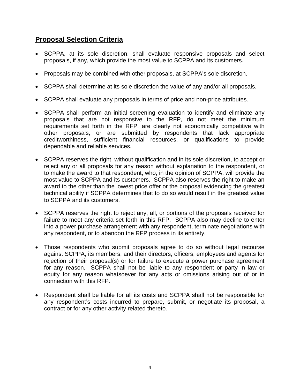### **Proposal Selection Criteria**

- SCPPA, at its sole discretion, shall evaluate responsive proposals and select proposals, if any, which provide the most value to SCPPA and its customers.
- Proposals may be combined with other proposals, at SCPPA's sole discretion.
- SCPPA shall determine at its sole discretion the value of any and/or all proposals.
- SCPPA shall evaluate any proposals in terms of price and non-price attributes.
- SCPPA shall perform an initial screening evaluation to identify and eliminate any proposals that are not responsive to the RFP, do not meet the minimum requirements set forth in the RFP, are clearly not economically competitive with other proposals, or are submitted by respondents that lack appropriate creditworthiness, sufficient financial resources, or qualifications to provide dependable and reliable services.
- SCPPA reserves the right, without qualification and in its sole discretion, to accept or reject any or all proposals for any reason without explanation to the respondent, or to make the award to that respondent, who, in the opinion of SCPPA, will provide the most value to SCPPA and its customers. SCPPA also reserves the right to make an award to the other than the lowest price offer or the proposal evidencing the greatest technical ability if SCPPA determines that to do so would result in the greatest value to SCPPA and its customers.
- SCPPA reserves the right to reject any, all, or portions of the proposals received for failure to meet any criteria set forth in this RFP. SCPPA also may decline to enter into a power purchase arrangement with any respondent, terminate negotiations with any respondent, or to abandon the RFP process in its entirety.
- Those respondents who submit proposals agree to do so without legal recourse against SCPPA, its members, and their directors, officers, employees and agents for rejection of their proposal(s) or for failure to execute a power purchase agreement for any reason. SCPPA shall not be liable to any respondent or party in law or equity for any reason whatsoever for any acts or omissions arising out of or in connection with this RFP.
- Respondent shall be liable for all its costs and SCPPA shall not be responsible for any respondent's costs incurred to prepare, submit, or negotiate its proposal, a contract or for any other activity related thereto.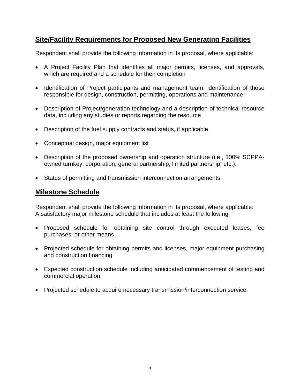## **Site/Facility Requirements for Proposed New Generating Facilities**

Respondent shall provide the following information in its proposal, where applicable:

- A Project Facility Plan that identifies all major permits, licenses, and approvals, which are required and a schedule for their completion
- Identification of Project participants and management team; identification of those responsible for design, construction, permitting, operations and maintenance
- Description of Project/generation technology and a description of technical resource data, including any studies or reports regarding the resource
- Description of the fuel supply contracts and status, if applicable
- Conceptual design, major equipment list
- Description of the proposed ownership and operation structure (i.e., 100% SCPPAowned turnkey, corporation, general partnership, limited partnership, etc.).
- Status of permitting and transmission interconnection arrangements.

#### **Milestone Schedule**

Respondent shall provide the following information in its proposal, where applicable: A satisfactory major milestone schedule that includes at least the following:

- Proposed schedule for obtaining site control through executed leases, fee purchases, or other means
- Projected schedule for obtaining permits and licenses, major equipment purchasing and construction financing
- Expected construction schedule including anticipated commencement of testing and commercial operation
- Projected schedule to acquire necessary transmission/interconnection service.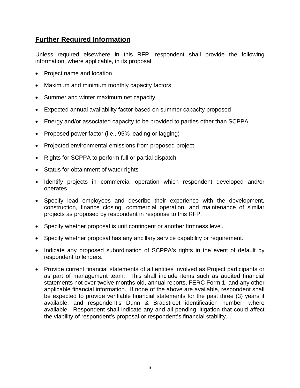#### **Further Required Information**

Unless required elsewhere in this RFP, respondent shall provide the following information, where applicable, in its proposal:

- Project name and location
- Maximum and minimum monthly capacity factors
- Summer and winter maximum net capacity
- Expected annual availability factor based on summer capacity proposed
- Energy and/or associated capacity to be provided to parties other than SCPPA
- Proposed power factor (i.e., 95% leading or lagging)
- Projected environmental emissions from proposed project
- Rights for SCPPA to perform full or partial dispatch
- Status for obtainment of water rights
- Identify projects in commercial operation which respondent developed and/or operates.
- Specify lead employees and describe their experience with the development, construction, finance closing, commercial operation, and maintenance of similar projects as proposed by respondent in response to this RFP.
- Specify whether proposal is unit contingent or another firmness level.
- Specify whether proposal has any ancillary service capability or requirement.
- Indicate any proposed subordination of SCPPA's rights in the event of default by respondent to lenders.
- Provide current financial statements of all entities involved as Project participants or as part of management team. This shall include items such as audited financial statements not over twelve months old, annual reports, FERC Form 1, and any other applicable financial information. If none of the above are available, respondent shall be expected to provide verifiable financial statements for the past three (3) years if available, and respondent's Dunn & Bradstreet identification number, where available. Respondent shall indicate any and all pending litigation that could affect the viability of respondent's proposal or respondent's financial stability.